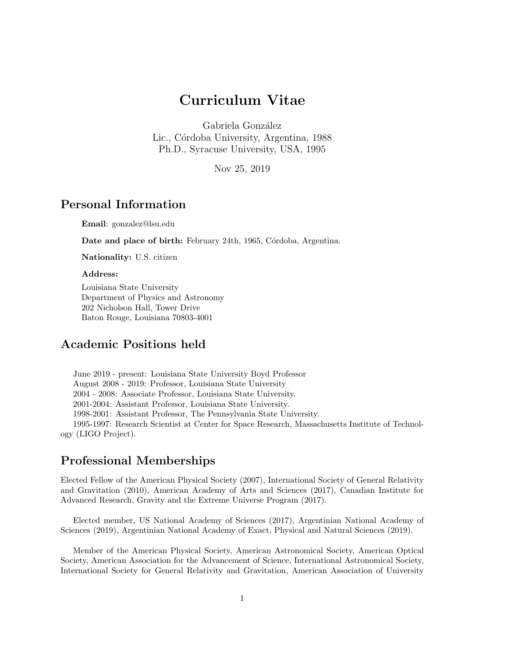# Curriculum Vitae

Gabriela González Lic., Córdoba University, Argentina, 1988 Ph.D., Syracuse University, USA, 1995

Nov 25, 2019

# Personal Information

Email: gonzalez@lsu.edu

Date and place of birth: February 24th, 1965, Córdoba, Argentina.

Nationality: U.S. citizen

#### Address:

Louisiana State University Department of Physics and Astronomy 202 Nicholson Hall, Tower Drive Baton Rouge, Louisiana 70803-4001

# Academic Positions held

June 2019 - present: Louisiana State University Boyd Professor August 2008 - 2019: Professor, Louisiana State University 2004 - 2008: Associate Professor, Louisiana State University. 2001-2004: Assistant Professor, Louisiana State University. 1998-2001: Assistant Professor, The Pennsylvania State University. 1995-1997: Research Scientist at Center for Space Research, Massachusetts Institute of Technology (LIGO Project).

### Professional Memberships

Elected Fellow of the American Physical Society (2007), International Society of General Relativity and Gravitation (2010), American Academy of Arts and Sciences (2017), Canadian Institute for Advanced Research, Gravity and the Extreme Universe Program (2017).

Elected member, US National Academy of Sciences (2017), Argentinian National Academy of Sciences (2019), Argentinian National Academy of Exact, Physical and Natural Sciences (2019).

Member of the American Physical Society, American Astronomical Society, American Optical Society, American Association for the Advancement of Science, International Astronomical Society, International Society for General Relativity and Gravitation, American Association of University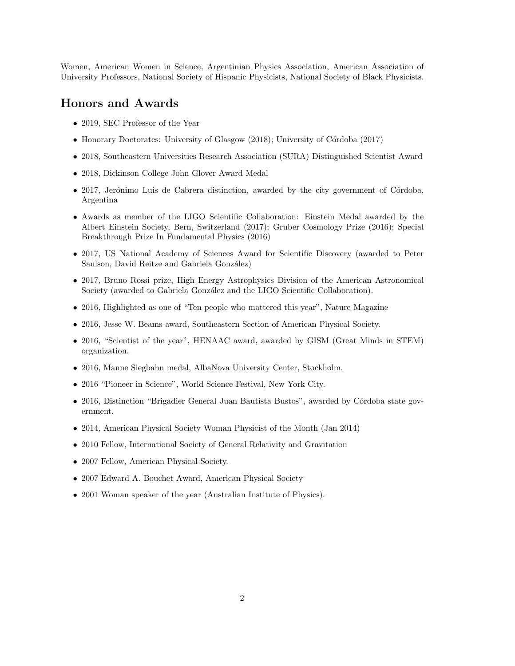Women, American Women in Science, Argentinian Physics Association, American Association of University Professors, National Society of Hispanic Physicists, National Society of Black Physicists.

### Honors and Awards

- 2019, SEC Professor of the Year
- Honorary Doctorates: University of Glasgow (2018); University of Córdoba (2017)
- 2018, Southeastern Universities Research Association (SURA) Distinguished Scientist Award
- 2018, Dickinson College John Glover Award Medal
- 2017, Jerónimo Luis de Cabrera distinction, awarded by the city government of Córdoba, Argentina
- Awards as member of the LIGO Scientific Collaboration: Einstein Medal awarded by the Albert Einstein Society, Bern, Switzerland (2017); Gruber Cosmology Prize (2016); Special Breakthrough Prize In Fundamental Physics (2016)
- 2017, US National Academy of Sciences Award for Scientific Discovery (awarded to Peter Saulson, David Reitze and Gabriela González)
- 2017, Bruno Rossi prize, High Energy Astrophysics Division of the American Astronomical Society (awarded to Gabriela González and the LIGO Scientific Collaboration).
- 2016, Highlighted as one of "Ten people who mattered this year", Nature Magazine
- 2016, Jesse W. Beams award, Southeastern Section of American Physical Society.
- 2016, "Scientist of the year", HENAAC award, awarded by GISM (Great Minds in STEM) organization.
- 2016, Manne Siegbahn medal, AlbaNova University Center, Stockholm.
- 2016 "Pioneer in Science", World Science Festival, New York City.
- 2016, Distinction "Brigadier General Juan Bautista Bustos", awarded by Córdoba state government.
- 2014, American Physical Society Woman Physicist of the Month (Jan 2014)
- 2010 Fellow, International Society of General Relativity and Gravitation
- 2007 Fellow, American Physical Society.
- 2007 Edward A. Bouchet Award, American Physical Society
- 2001 Woman speaker of the year (Australian Institute of Physics).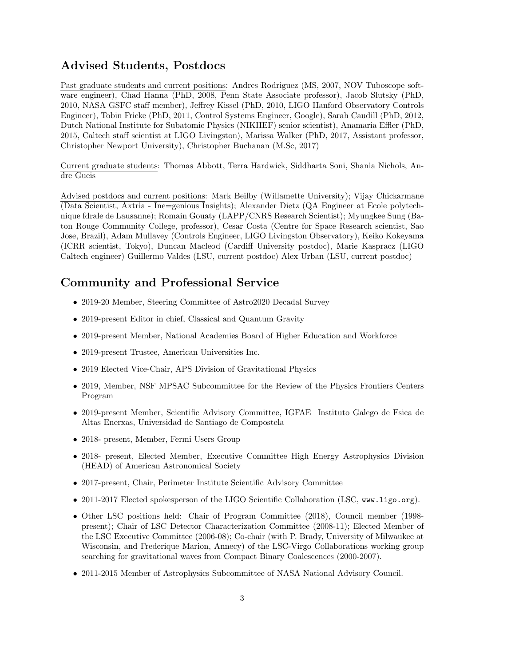# Advised Students, Postdocs

Past graduate students and current positions: Andres Rodriguez (MS, 2007, NOV Tuboscope software engineer), Chad Hanna (PhD, 2008, Penn State Associate professor), Jacob Slutsky (PhD, 2010, NASA GSFC staff member), Jeffrey Kissel (PhD, 2010, LIGO Hanford Observatory Controls Engineer), Tobin Fricke (PhD, 2011, Control Systems Engineer, Google), Sarah Caudill (PhD, 2012, Dutch National Institute for Subatomic Physics (NIKHEF) senior scientist), Anamaria Effler (PhD, 2015, Caltech staff scientist at LIGO Livingston), Marissa Walker (PhD, 2017, Assistant professor, Christopher Newport University), Christopher Buchanan (M.Sc, 2017)

Current graduate students: Thomas Abbott, Terra Hardwick, Siddharta Soni, Shania Nichols, Andre Gueis

Advised postdocs and current positions: Mark Beilby (Willamette University); Vijay Chickarmane (Data Scientist, Axtria - Ine=genious Insights); Alexander Dietz (QA Engineer at Ecole polytechnique fdrale de Lausanne); Romain Gouaty (LAPP/CNRS Research Scientist); Myungkee Sung (Baton Rouge Community College, professor), Cesar Costa (Centre for Space Research scientist, Sao Jose, Brazil), Adam Mullavey (Controls Engineer, LIGO Livingston Observatory), Keiko Kokeyama (ICRR scientist, Tokyo), Duncan Macleod (Cardiff University postdoc), Marie Kaspracz (LIGO Caltech engineer) Guillermo Valdes (LSU, current postdoc) Alex Urban (LSU, current postdoc)

## Community and Professional Service

- 2019-20 Member, Steering Committee of Astro2020 Decadal Survey
- 2019-present Editor in chief, Classical and Quantum Gravity
- 2019-present Member, National Academies Board of Higher Education and Workforce
- 2019-present Trustee, American Universities Inc.
- 2019 Elected Vice-Chair, APS Division of Gravitational Physics
- 2019, Member, NSF MPSAC Subcommittee for the Review of the Physics Frontiers Centers Program
- 2019-present Member, Scientific Advisory Committee, IGFAE Instituto Galego de Fsica de Altas Enerxas, Universidad de Santiago de Compostela
- 2018- present, Member, Fermi Users Group
- 2018- present, Elected Member, Executive Committee High Energy Astrophysics Division (HEAD) of American Astronomical Society
- 2017-present, Chair, Perimeter Institute Scientific Advisory Committee
- 2011-2017 Elected spokesperson of the LIGO Scientific Collaboration (LSC, www.ligo.org).
- Other LSC positions held: Chair of Program Committee (2018), Council member (1998 present); Chair of LSC Detector Characterization Committee (2008-11); Elected Member of the LSC Executive Committee (2006-08); Co-chair (with P. Brady, University of Milwaukee at Wisconsin, and Frederique Marion, Annecy) of the LSC-Virgo Collaborations working group searching for gravitational waves from Compact Binary Coalescences (2000-2007).
- 2011-2015 Member of Astrophysics Subcommittee of NASA National Advisory Council.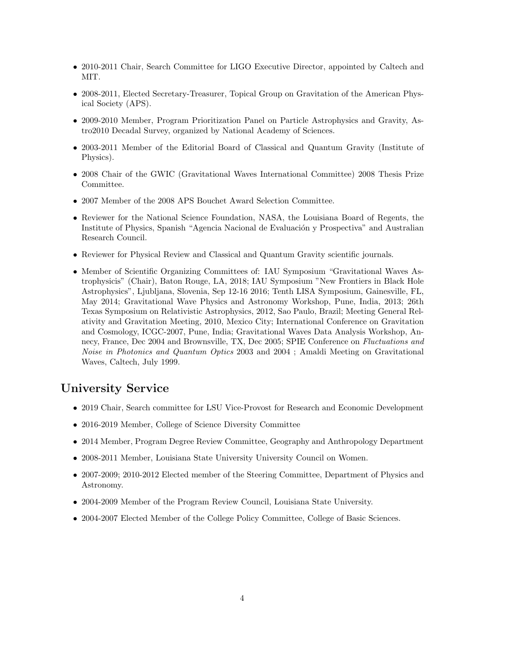- 2010-2011 Chair, Search Committee for LIGO Executive Director, appointed by Caltech and MIT.
- 2008-2011, Elected Secretary-Treasurer, Topical Group on Gravitation of the American Physical Society (APS).
- 2009-2010 Member, Program Prioritization Panel on Particle Astrophysics and Gravity, Astro2010 Decadal Survey, organized by National Academy of Sciences.
- 2003-2011 Member of the Editorial Board of Classical and Quantum Gravity (Institute of Physics).
- 2008 Chair of the GWIC (Gravitational Waves International Committee) 2008 Thesis Prize Committee.
- 2007 Member of the 2008 APS Bouchet Award Selection Committee.
- Reviewer for the National Science Foundation, NASA, the Louisiana Board of Regents, the Institute of Physics, Spanish "Agencia Nacional de Evaluación y Prospectiva" and Australian Research Council.
- Reviewer for Physical Review and Classical and Quantum Gravity scientific journals.
- Member of Scientific Organizing Committees of: IAU Symposium "Gravitational Waves Astrophysicis" (Chair), Baton Rouge, LA, 2018; IAU Symposium "New Frontiers in Black Hole Astrophysics", Ljubljana, Slovenia, Sep 12-16 2016; Tenth LISA Symposium, Gainesville, FL, May 2014; Gravitational Wave Physics and Astronomy Workshop, Pune, India, 2013; 26th Texas Symposium on Relativistic Astrophysics, 2012, Sao Paulo, Brazil; Meeting General Relativity and Gravitation Meeting, 2010, Mexico City; International Conference on Gravitation and Cosmology, ICGC-2007, Pune, India; Gravitational Waves Data Analysis Workshop, Annecy, France, Dec 2004 and Brownsville, TX, Dec 2005; SPIE Conference on Fluctuations and Noise in Photonics and Quantum Optics 2003 and 2004 ; Amaldi Meeting on Gravitational Waves, Caltech, July 1999.

### University Service

- 2019 Chair, Search committee for LSU Vice-Provost for Research and Economic Development
- 2016-2019 Member, College of Science Diversity Committee
- 2014 Member, Program Degree Review Committee, Geography and Anthropology Department
- 2008-2011 Member, Louisiana State University University Council on Women.
- 2007-2009; 2010-2012 Elected member of the Steering Committee, Department of Physics and Astronomy.
- 2004-2009 Member of the Program Review Council, Louisiana State University.
- 2004-2007 Elected Member of the College Policy Committee, College of Basic Sciences.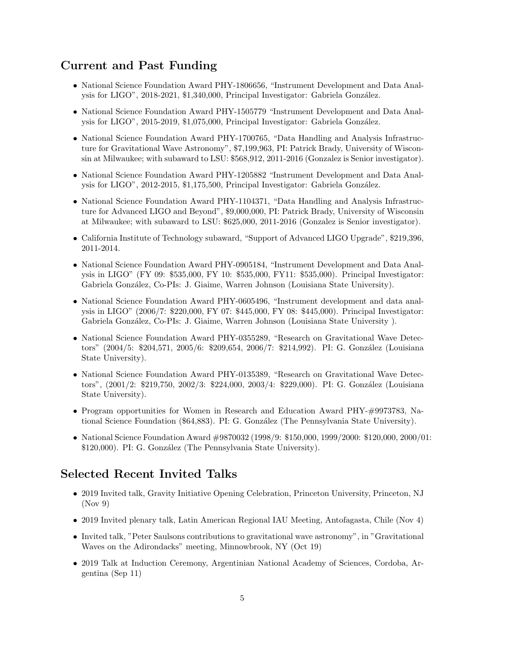# Current and Past Funding

- National Science Foundation Award PHY-1806656, "Instrument Development and Data Analysis for LIGO", 2018-2021, \$1,340,000, Principal Investigator: Gabriela González.
- National Science Foundation Award PHY-1505779 "Instrument Development and Data Analysis for LIGO", 2015-2019, \$1,075,000, Principal Investigator: Gabriela González.
- National Science Foundation Award PHY-1700765, "Data Handling and Analysis Infrastructure for Gravitational Wave Astronomy", \$7,199,963, PI: Patrick Brady, University of Wisconsin at Milwaukee; with subaward to LSU: \$568,912, 2011-2016 (Gonzalez is Senior investigator).
- National Science Foundation Award PHY-1205882 "Instrument Development and Data Analysis for LIGO", 2012-2015, \$1,175,500, Principal Investigator: Gabriela González.
- National Science Foundation Award PHY-1104371, "Data Handling and Analysis Infrastructure for Advanced LIGO and Beyond", \$9,000,000, PI: Patrick Brady, University of Wisconsin at Milwaukee; with subaward to LSU: \$625,000, 2011-2016 (Gonzalez is Senior investigator).
- California Institute of Technology subaward, "Support of Advanced LIGO Upgrade", \$219,396, 2011-2014.
- National Science Foundation Award PHY-0905184, "Instrument Development and Data Analysis in LIGO" (FY 09: \$535,000, FY 10: \$535,000, FY11: \$535,000). Principal Investigator: Gabriela González, Co-PIs: J. Giaime, Warren Johnson (Louisiana State University).
- National Science Foundation Award PHY-0605496, "Instrument development and data analysis in LIGO" (2006/7: \$220,000, FY 07: \$445,000, FY 08: \$445,000). Principal Investigator: Gabriela González, Co-PIs: J. Giaime, Warren Johnson (Louisiana State University).
- National Science Foundation Award PHY-0355289, "Research on Gravitational Wave Detectors" (2004/5: \$204,571, 2005/6: \$209,654, 2006/7: \$214,992). PI: G. González (Louisiana State University).
- National Science Foundation Award PHY-0135389, "Research on Gravitational Wave Detectors", (2001/2: \$219,750, 2002/3: \$224,000, 2003/4: \$229,000). PI: G. González (Louisiana State University).
- Program opportunities for Women in Research and Education Award PHY-#9973783, National Science Foundation (\$64,883). PI: G. González (The Pennsylvania State University).
- National Science Foundation Award #9870032 (1998/9: \$150,000, 1999/2000: \$120,000, 2000/01: \$120,000). PI: G. González (The Pennsylvania State University).

### Selected Recent Invited Talks

- 2019 Invited talk, Gravity Initiative Opening Celebration, Princeton University, Princeton, NJ  $($ Nov 9 $)$
- 2019 Invited plenary talk, Latin American Regional IAU Meeting, Antofagasta, Chile (Nov 4)
- Invited talk, "Peter Saulsons contributions to gravitational wave astronomy", in "Gravitational Waves on the Adirondacks" meeting, Minnowbrook, NY (Oct 19)
- 2019 Talk at Induction Ceremony, Argentinian National Academy of Sciences, Cordoba, Argentina (Sep 11)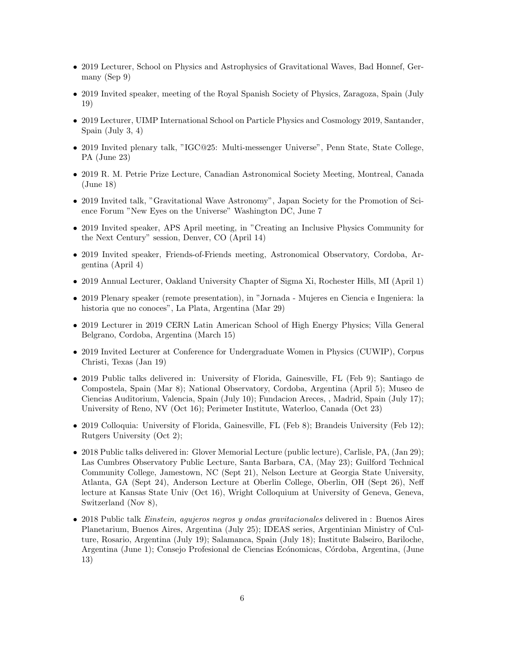- 2019 Lecturer, School on Physics and Astrophysics of Gravitational Waves, Bad Honnef, Germany (Sep 9)
- 2019 Invited speaker, meeting of the Royal Spanish Society of Physics, Zaragoza, Spain (July 19)
- 2019 Lecturer, UIMP International School on Particle Physics and Cosmology 2019, Santander, Spain (July 3, 4)
- 2019 Invited plenary talk, "IGC@25: Multi-messenger Universe", Penn State, State College, PA (June 23)
- 2019 R. M. Petrie Prize Lecture, Canadian Astronomical Society Meeting, Montreal, Canada (June 18)
- 2019 Invited talk, "Gravitational Wave Astronomy", Japan Society for the Promotion of Science Forum "New Eyes on the Universe" Washington DC, June 7
- 2019 Invited speaker, APS April meeting, in "Creating an Inclusive Physics Community for the Next Century" session, Denver, CO (April 14)
- 2019 Invited speaker, Friends-of-Friends meeting, Astronomical Observatory, Cordoba, Argentina (April 4)
- 2019 Annual Lecturer, Oakland University Chapter of Sigma Xi, Rochester Hills, MI (April 1)
- 2019 Plenary speaker (remote presentation), in "Jornada Mujeres en Ciencia e Ingeniera: la historia que no conoces", La Plata, Argentina (Mar 29)
- 2019 Lecturer in 2019 CERN Latin American School of High Energy Physics; Villa General Belgrano, Cordoba, Argentina (March 15)
- 2019 Invited Lecturer at Conference for Undergraduate Women in Physics (CUWIP), Corpus Christi, Texas (Jan 19)
- 2019 Public talks delivered in: University of Florida, Gainesville, FL (Feb 9); Santiago de Compostela, Spain (Mar 8); National Observatory, Cordoba, Argentina (April 5); Museo de Ciencias Auditorium, Valencia, Spain (July 10); Fundacion Areces, , Madrid, Spain (July 17); University of Reno, NV (Oct 16); Perimeter Institute, Waterloo, Canada (Oct 23)
- 2019 Colloquia: University of Florida, Gainesville, FL (Feb 8); Brandeis University (Feb 12); Rutgers University (Oct 2);
- 2018 Public talks delivered in: Glover Memorial Lecture (public lecture), Carlisle, PA, (Jan 29); Las Cumbres Observatory Public Lecture, Santa Barbara, CA, (May 23); Guilford Technical Community College, Jamestown, NC (Sept 21), Nelson Lecture at Georgia State University, Atlanta, GA (Sept 24), Anderson Lecture at Oberlin College, Oberlin, OH (Sept 26), Neff lecture at Kansas State Univ (Oct 16), Wright Colloquium at University of Geneva, Geneva, Switzerland (Nov 8),
- 2018 Public talk Einstein, agujeros negros y ondas gravitacionales delivered in : Buenos Aires Planetarium, Buenos Aires, Argentina (July 25); IDEAS series, Argentinian Ministry of Culture, Rosario, Argentina (July 19); Salamanca, Spain (July 18); Institute Balseiro, Bariloche, Argentina (June 1); Consejo Profesional de Ciencias Ecónomicas, Córdoba, Argentina, (June 13)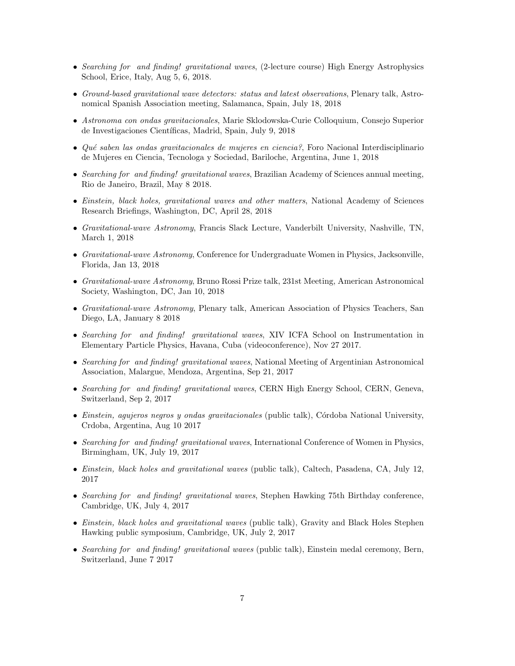- Searching for and finding! gravitational waves, (2-lecture course) High Energy Astrophysics School, Erice, Italy, Aug 5, 6, 2018.
- Ground-based gravitational wave detectors: status and latest observations, Plenary talk, Astronomical Spanish Association meeting, Salamanca, Spain, July 18, 2018
- Astronoma con ondas gravitacionales, Marie Sklodowska-Curie Colloquium, Consejo Superior de Investigaciones Científicas, Madrid, Spain, July 9, 2018
- Qué saben las ondas gravitacionales de mujeres en ciencia?, Foro Nacional Interdisciplinario de Mujeres en Ciencia, Tecnologa y Sociedad, Bariloche, Argentina, June 1, 2018
- Searching for and finding! gravitational waves, Brazilian Academy of Sciences annual meeting, Rio de Janeiro, Brazil, May 8 2018.
- Einstein, black holes, gravitational waves and other matters, National Academy of Sciences Research Briefings, Washington, DC, April 28, 2018
- Gravitational-wave Astronomy, Francis Slack Lecture, Vanderbilt University, Nashville, TN, March 1, 2018
- Gravitational-wave Astronomy, Conference for Undergraduate Women in Physics, Jacksonville, Florida, Jan 13, 2018
- Gravitational-wave Astronomy, Bruno Rossi Prize talk, 231st Meeting, American Astronomical Society, Washington, DC, Jan 10, 2018
- Gravitational-wave Astronomy, Plenary talk, American Association of Physics Teachers, San Diego, LA, January 8 2018
- Searching for and finding! gravitational waves, XIV ICFA School on Instrumentation in Elementary Particle Physics, Havana, Cuba (videoconference), Nov 27 2017.
- Searching for and finding! gravitational waves, National Meeting of Argentinian Astronomical Association, Malargue, Mendoza, Argentina, Sep 21, 2017
- Searching for and finding! gravitational waves, CERN High Energy School, CERN, Geneva, Switzerland, Sep 2, 2017
- Einstein, agujeros negros y ondas gravitacionales (public talk), Córdoba National University, Crdoba, Argentina, Aug 10 2017
- Searching for and finding! gravitational waves, International Conference of Women in Physics, Birmingham, UK, July 19, 2017
- Einstein, black holes and gravitational waves (public talk), Caltech, Pasadena, CA, July 12, 2017
- Searching for and finding! gravitational waves, Stephen Hawking 75th Birthday conference, Cambridge, UK, July 4, 2017
- Einstein, black holes and gravitational waves (public talk), Gravity and Black Holes Stephen Hawking public symposium, Cambridge, UK, July 2, 2017
- Searching for and finding! gravitational waves (public talk), Einstein medal ceremony, Bern, Switzerland, June 7 2017